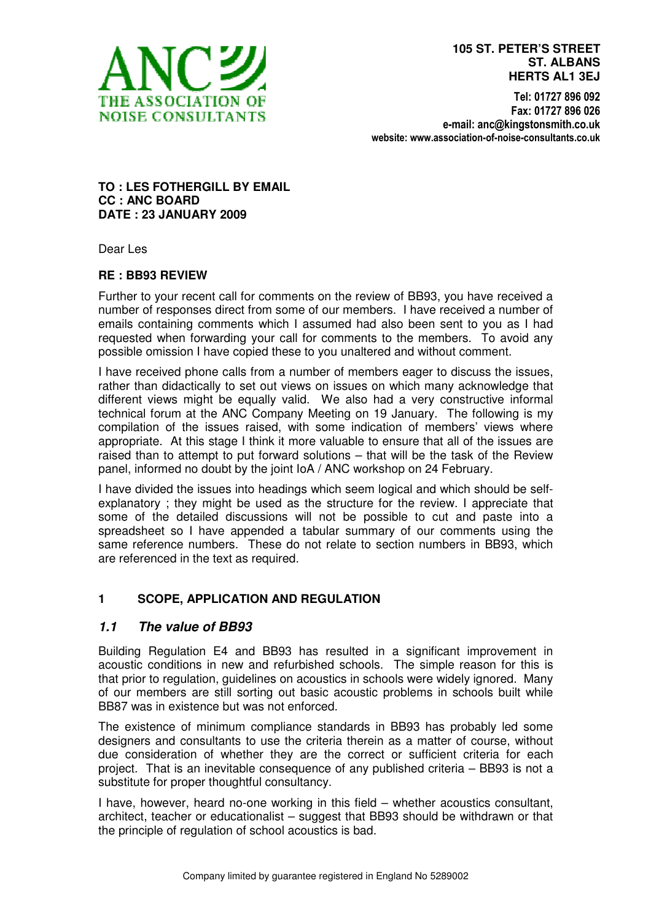

Tel: 01727 896 092 Fax: 01727 896 026 e-mail: anc@kingstonsmith.co.uk website: www.association-of-noise-consultants.co.uk

#### **TO : LES FOTHERGILL BY EMAIL CC : ANC BOARD DATE : 23 JANUARY 2009**

Dear Les

#### **RE : BB93 REVIEW**

Further to your recent call for comments on the review of BB93, you have received a number of responses direct from some of our members. I have received a number of emails containing comments which I assumed had also been sent to you as I had requested when forwarding your call for comments to the members. To avoid any possible omission I have copied these to you unaltered and without comment.

I have received phone calls from a number of members eager to discuss the issues, rather than didactically to set out views on issues on which many acknowledge that different views might be equally valid. We also had a very constructive informal technical forum at the ANC Company Meeting on 19 January. The following is my compilation of the issues raised, with some indication of members' views where appropriate. At this stage I think it more valuable to ensure that all of the issues are raised than to attempt to put forward solutions – that will be the task of the Review panel, informed no doubt by the joint IoA / ANC workshop on 24 February.

I have divided the issues into headings which seem logical and which should be selfexplanatory ; they might be used as the structure for the review. I appreciate that some of the detailed discussions will not be possible to cut and paste into a spreadsheet so I have appended a tabular summary of our comments using the same reference numbers. These do not relate to section numbers in BB93, which are referenced in the text as required.

### **1 SCOPE, APPLICATION AND REGULATION**

### **1.1 The value of BB93**

Building Regulation E4 and BB93 has resulted in a significant improvement in acoustic conditions in new and refurbished schools. The simple reason for this is that prior to regulation, guidelines on acoustics in schools were widely ignored. Many of our members are still sorting out basic acoustic problems in schools built while BB87 was in existence but was not enforced.

The existence of minimum compliance standards in BB93 has probably led some designers and consultants to use the criteria therein as a matter of course, without due consideration of whether they are the correct or sufficient criteria for each project. That is an inevitable consequence of any published criteria – BB93 is not a substitute for proper thoughtful consultancy.

I have, however, heard no-one working in this field – whether acoustics consultant, architect, teacher or educationalist – suggest that BB93 should be withdrawn or that the principle of regulation of school acoustics is bad.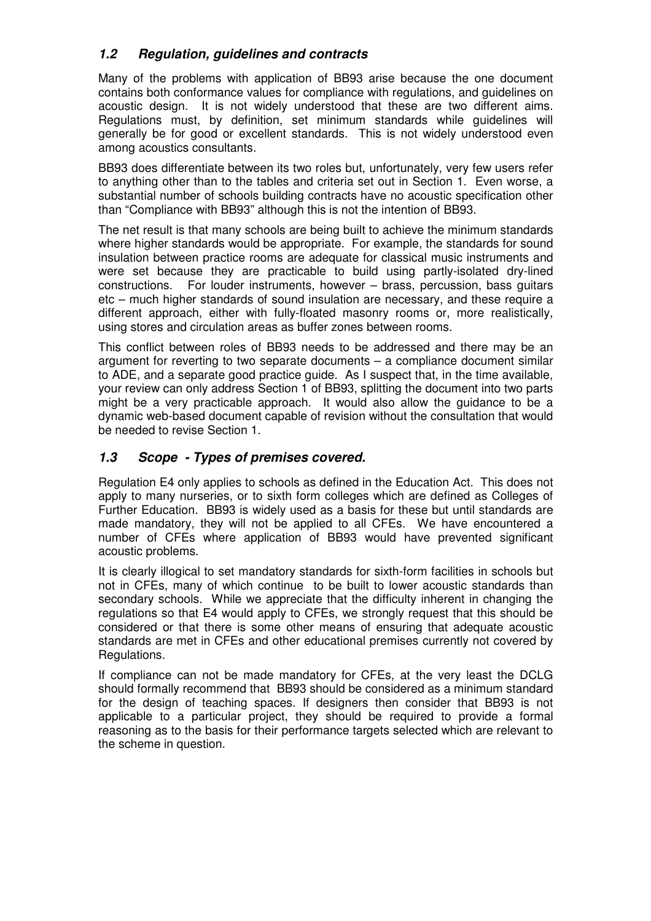## **1.2 Regulation, guidelines and contracts**

Many of the problems with application of BB93 arise because the one document contains both conformance values for compliance with regulations, and guidelines on acoustic design. It is not widely understood that these are two different aims. Regulations must, by definition, set minimum standards while guidelines will generally be for good or excellent standards. This is not widely understood even among acoustics consultants.

BB93 does differentiate between its two roles but, unfortunately, very few users refer to anything other than to the tables and criteria set out in Section 1. Even worse, a substantial number of schools building contracts have no acoustic specification other than "Compliance with BB93" although this is not the intention of BB93.

The net result is that many schools are being built to achieve the minimum standards where higher standards would be appropriate. For example, the standards for sound insulation between practice rooms are adequate for classical music instruments and were set because they are practicable to build using partly-isolated dry-lined constructions. For louder instruments, however – brass, percussion, bass guitars etc – much higher standards of sound insulation are necessary, and these require a different approach, either with fully-floated masonry rooms or, more realistically, using stores and circulation areas as buffer zones between rooms.

This conflict between roles of BB93 needs to be addressed and there may be an argument for reverting to two separate documents – a compliance document similar to ADE, and a separate good practice guide. As I suspect that, in the time available, your review can only address Section 1 of BB93, splitting the document into two parts might be a very practicable approach. It would also allow the guidance to be a dynamic web-based document capable of revision without the consultation that would be needed to revise Section 1.

## **1.3 Scope - Types of premises covered.**

Regulation E4 only applies to schools as defined in the Education Act. This does not apply to many nurseries, or to sixth form colleges which are defined as Colleges of Further Education. BB93 is widely used as a basis for these but until standards are made mandatory, they will not be applied to all CFEs. We have encountered a number of CFEs where application of BB93 would have prevented significant acoustic problems.

It is clearly illogical to set mandatory standards for sixth-form facilities in schools but not in CFEs, many of which continue to be built to lower acoustic standards than secondary schools. While we appreciate that the difficulty inherent in changing the regulations so that E4 would apply to CFEs, we strongly request that this should be considered or that there is some other means of ensuring that adequate acoustic standards are met in CFEs and other educational premises currently not covered by Regulations.

If compliance can not be made mandatory for CFEs, at the very least the DCLG should formally recommend that BB93 should be considered as a minimum standard for the design of teaching spaces. If designers then consider that BB93 is not applicable to a particular project, they should be required to provide a formal reasoning as to the basis for their performance targets selected which are relevant to the scheme in question.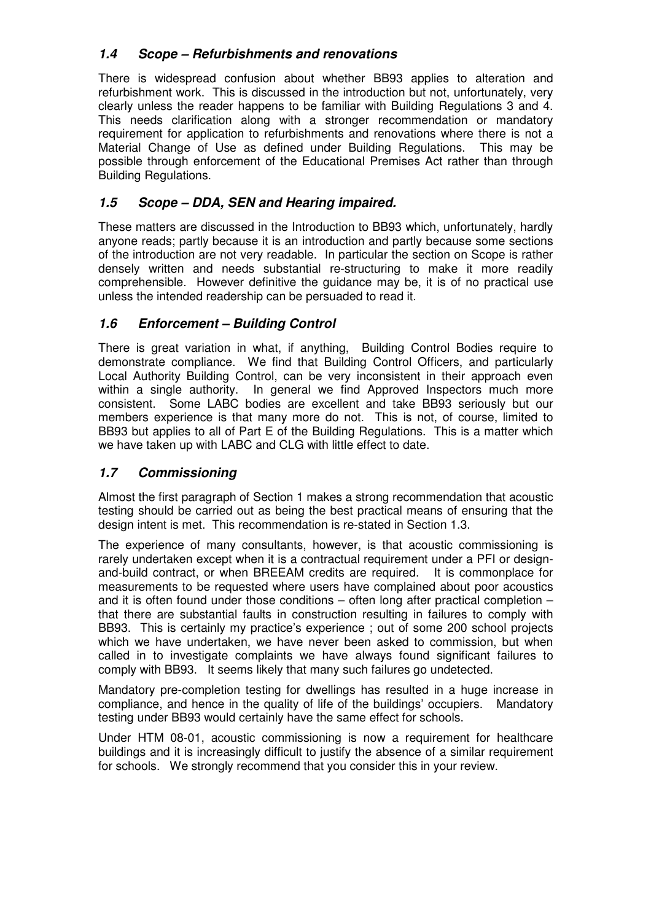# **1.4 Scope – Refurbishments and renovations**

There is widespread confusion about whether BB93 applies to alteration and refurbishment work. This is discussed in the introduction but not, unfortunately, very clearly unless the reader happens to be familiar with Building Regulations 3 and 4. This needs clarification along with a stronger recommendation or mandatory requirement for application to refurbishments and renovations where there is not a Material Change of Use as defined under Building Regulations. This may be possible through enforcement of the Educational Premises Act rather than through Building Regulations.

# **1.5 Scope – DDA, SEN and Hearing impaired.**

These matters are discussed in the Introduction to BB93 which, unfortunately, hardly anyone reads; partly because it is an introduction and partly because some sections of the introduction are not very readable. In particular the section on Scope is rather densely written and needs substantial re-structuring to make it more readily comprehensible. However definitive the guidance may be, it is of no practical use unless the intended readership can be persuaded to read it.

# **1.6 Enforcement – Building Control**

There is great variation in what, if anything, Building Control Bodies require to demonstrate compliance. We find that Building Control Officers, and particularly Local Authority Building Control, can be very inconsistent in their approach even within a single authority. In general we find Approved Inspectors much more consistent. Some LABC bodies are excellent and take BB93 seriously but our members experience is that many more do not. This is not, of course, limited to BB93 but applies to all of Part E of the Building Regulations. This is a matter which we have taken up with LABC and CLG with little effect to date.

## **1.7 Commissioning**

Almost the first paragraph of Section 1 makes a strong recommendation that acoustic testing should be carried out as being the best practical means of ensuring that the design intent is met. This recommendation is re-stated in Section 1.3.

The experience of many consultants, however, is that acoustic commissioning is rarely undertaken except when it is a contractual requirement under a PFI or designand-build contract, or when BREEAM credits are required. It is commonplace for measurements to be requested where users have complained about poor acoustics and it is often found under those conditions – often long after practical completion – that there are substantial faults in construction resulting in failures to comply with BB93. This is certainly my practice's experience ; out of some 200 school projects which we have undertaken, we have never been asked to commission, but when called in to investigate complaints we have always found significant failures to comply with BB93. It seems likely that many such failures go undetected.

Mandatory pre-completion testing for dwellings has resulted in a huge increase in compliance, and hence in the quality of life of the buildings' occupiers. Mandatory testing under BB93 would certainly have the same effect for schools.

Under HTM 08-01, acoustic commissioning is now a requirement for healthcare buildings and it is increasingly difficult to justify the absence of a similar requirement for schools. We strongly recommend that you consider this in your review.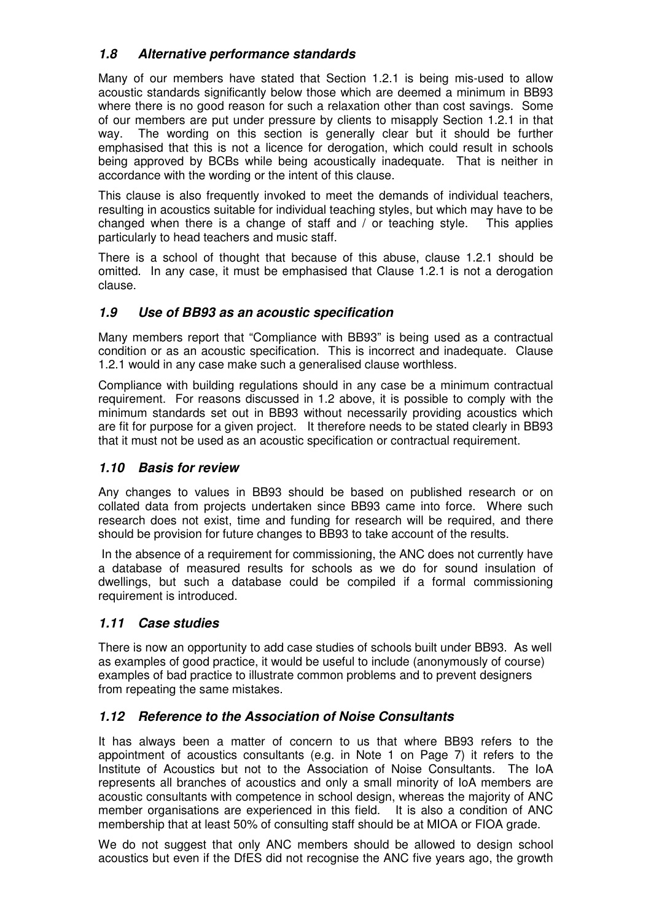# **1.8 Alternative performance standards**

Many of our members have stated that Section 1.2.1 is being mis-used to allow acoustic standards significantly below those which are deemed a minimum in BB93 where there is no good reason for such a relaxation other than cost savings. Some of our members are put under pressure by clients to misapply Section 1.2.1 in that way. The wording on this section is generally clear but it should be further emphasised that this is not a licence for derogation, which could result in schools being approved by BCBs while being acoustically inadequate. That is neither in accordance with the wording or the intent of this clause.

This clause is also frequently invoked to meet the demands of individual teachers, resulting in acoustics suitable for individual teaching styles, but which may have to be changed when there is a change of staff and / or teaching style. This applies particularly to head teachers and music staff.

There is a school of thought that because of this abuse, clause 1.2.1 should be omitted. In any case, it must be emphasised that Clause 1.2.1 is not a derogation clause.

### **1.9 Use of BB93 as an acoustic specification**

Many members report that "Compliance with BB93" is being used as a contractual condition or as an acoustic specification. This is incorrect and inadequate. Clause 1.2.1 would in any case make such a generalised clause worthless.

Compliance with building regulations should in any case be a minimum contractual requirement. For reasons discussed in 1.2 above, it is possible to comply with the minimum standards set out in BB93 without necessarily providing acoustics which are fit for purpose for a given project. It therefore needs to be stated clearly in BB93 that it must not be used as an acoustic specification or contractual requirement.

### **1.10 Basis for review**

Any changes to values in BB93 should be based on published research or on collated data from projects undertaken since BB93 came into force. Where such research does not exist, time and funding for research will be required, and there should be provision for future changes to BB93 to take account of the results.

 In the absence of a requirement for commissioning, the ANC does not currently have a database of measured results for schools as we do for sound insulation of dwellings, but such a database could be compiled if a formal commissioning requirement is introduced.

### **1.11 Case studies**

There is now an opportunity to add case studies of schools built under BB93. As well as examples of good practice, it would be useful to include (anonymously of course) examples of bad practice to illustrate common problems and to prevent designers from repeating the same mistakes.

## **1.12 Reference to the Association of Noise Consultants**

It has always been a matter of concern to us that where BB93 refers to the appointment of acoustics consultants (e.g. in Note 1 on Page 7) it refers to the Institute of Acoustics but not to the Association of Noise Consultants. The IoA represents all branches of acoustics and only a small minority of IoA members are acoustic consultants with competence in school design, whereas the majority of ANC member organisations are experienced in this field. It is also a condition of ANC membership that at least 50% of consulting staff should be at MIOA or FIOA grade.

We do not suggest that only ANC members should be allowed to design school acoustics but even if the DfES did not recognise the ANC five years ago, the growth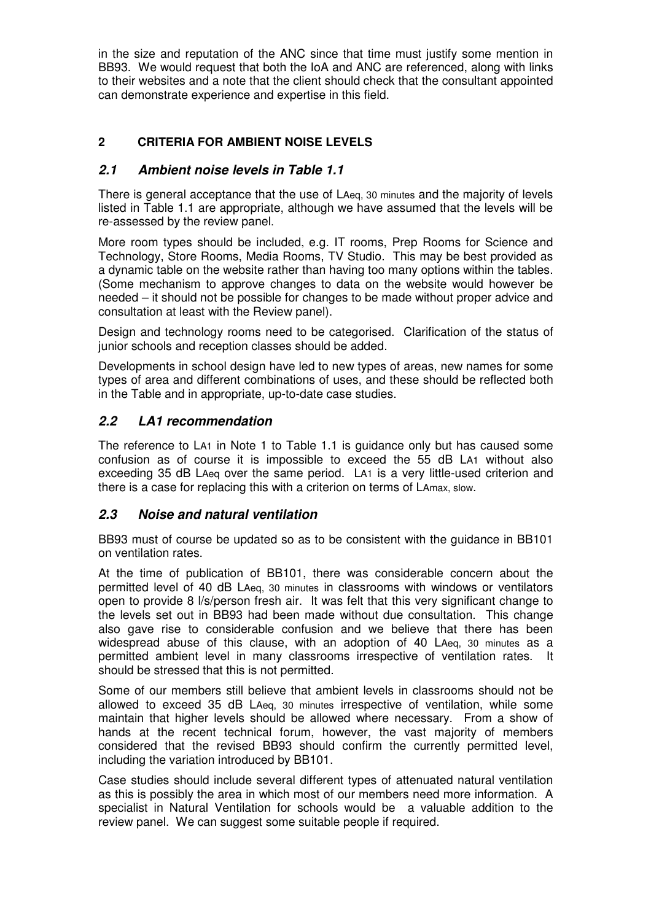in the size and reputation of the ANC since that time must justify some mention in BB93. We would request that both the IoA and ANC are referenced, along with links to their websites and a note that the client should check that the consultant appointed can demonstrate experience and expertise in this field.

### **2 CRITERIA FOR AMBIENT NOISE LEVELS**

#### **2.1 Ambient noise levels in Table 1.1**

There is general acceptance that the use of LAeq, 30 minutes and the majority of levels listed in Table 1.1 are appropriate, although we have assumed that the levels will be re-assessed by the review panel.

More room types should be included, e.g. IT rooms, Prep Rooms for Science and Technology, Store Rooms, Media Rooms, TV Studio. This may be best provided as a dynamic table on the website rather than having too many options within the tables. (Some mechanism to approve changes to data on the website would however be needed – it should not be possible for changes to be made without proper advice and consultation at least with the Review panel).

Design and technology rooms need to be categorised. Clarification of the status of junior schools and reception classes should be added.

Developments in school design have led to new types of areas, new names for some types of area and different combinations of uses, and these should be reflected both in the Table and in appropriate, up-to-date case studies.

### **2.2 LA1 recommendation**

The reference to LA1 in Note 1 to Table 1.1 is guidance only but has caused some confusion as of course it is impossible to exceed the 55 dB LA1 without also exceeding 35 dB LAeq over the same period. LA1 is a very little-used criterion and there is a case for replacing this with a criterion on terms of LAmax, slow.

#### **2.3 Noise and natural ventilation**

BB93 must of course be updated so as to be consistent with the guidance in BB101 on ventilation rates.

At the time of publication of BB101, there was considerable concern about the permitted level of 40 dB LAeq, 30 minutes in classrooms with windows or ventilators open to provide 8 l/s/person fresh air. It was felt that this very significant change to the levels set out in BB93 had been made without due consultation. This change also gave rise to considerable confusion and we believe that there has been widespread abuse of this clause, with an adoption of 40 LAeq, 30 minutes as a permitted ambient level in many classrooms irrespective of ventilation rates. It should be stressed that this is not permitted.

Some of our members still believe that ambient levels in classrooms should not be allowed to exceed 35 dB LAeq, 30 minutes irrespective of ventilation, while some maintain that higher levels should be allowed where necessary. From a show of hands at the recent technical forum, however, the vast majority of members considered that the revised BB93 should confirm the currently permitted level, including the variation introduced by BB101.

Case studies should include several different types of attenuated natural ventilation as this is possibly the area in which most of our members need more information. A specialist in Natural Ventilation for schools would be a valuable addition to the review panel. We can suggest some suitable people if required.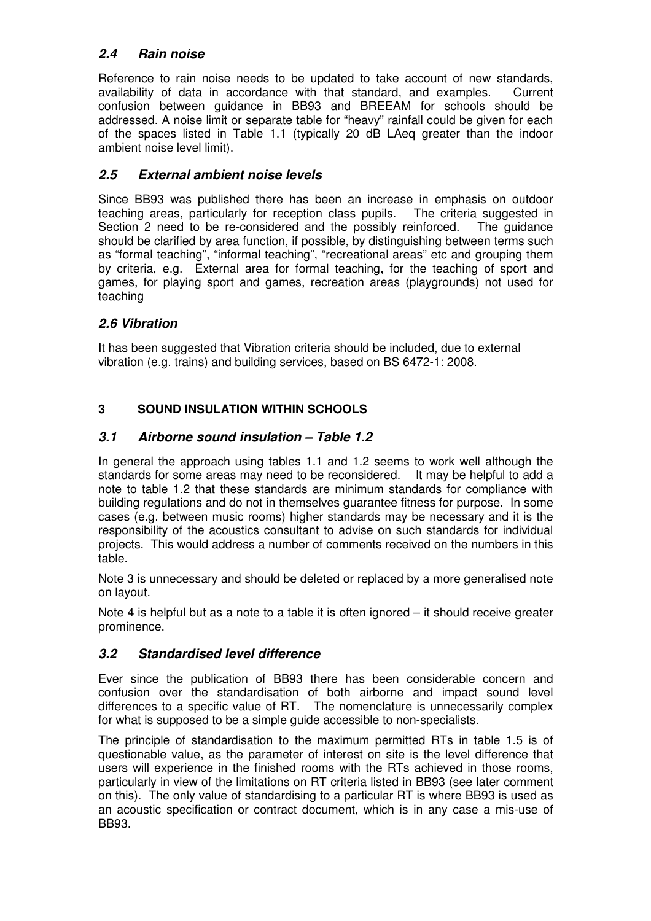## **2.4 Rain noise**

Reference to rain noise needs to be updated to take account of new standards, availability of data in accordance with that standard, and examples. Current confusion between guidance in BB93 and BREEAM for schools should be addressed. A noise limit or separate table for "heavy" rainfall could be given for each of the spaces listed in Table 1.1 (typically 20 dB LAeq greater than the indoor ambient noise level limit).

## **2.5 External ambient noise levels**

Since BB93 was published there has been an increase in emphasis on outdoor teaching areas, particularly for reception class pupils. The criteria suggested in Section 2 need to be re-considered and the possibly reinforced. The guidance should be clarified by area function, if possible, by distinguishing between terms such as "formal teaching", "informal teaching", "recreational areas" etc and grouping them by criteria, e.g. External area for formal teaching, for the teaching of sport and games, for playing sport and games, recreation areas (playgrounds) not used for teaching

# **2.6 Vibration**

It has been suggested that Vibration criteria should be included, due to external vibration (e.g. trains) and building services, based on BS 6472-1: 2008.

# **3 SOUND INSULATION WITHIN SCHOOLS**

## **3.1 Airborne sound insulation – Table 1.2**

In general the approach using tables 1.1 and 1.2 seems to work well although the standards for some areas may need to be reconsidered. It may be helpful to add a note to table 1.2 that these standards are minimum standards for compliance with building regulations and do not in themselves guarantee fitness for purpose. In some cases (e.g. between music rooms) higher standards may be necessary and it is the responsibility of the acoustics consultant to advise on such standards for individual projects. This would address a number of comments received on the numbers in this table.

Note 3 is unnecessary and should be deleted or replaced by a more generalised note on layout.

Note 4 is helpful but as a note to a table it is often ignored – it should receive greater prominence.

## **3.2 Standardised level difference**

Ever since the publication of BB93 there has been considerable concern and confusion over the standardisation of both airborne and impact sound level differences to a specific value of RT. The nomenclature is unnecessarily complex for what is supposed to be a simple guide accessible to non-specialists.

The principle of standardisation to the maximum permitted RTs in table 1.5 is of questionable value, as the parameter of interest on site is the level difference that users will experience in the finished rooms with the RTs achieved in those rooms, particularly in view of the limitations on RT criteria listed in BB93 (see later comment on this). The only value of standardising to a particular RT is where BB93 is used as an acoustic specification or contract document, which is in any case a mis-use of BB93.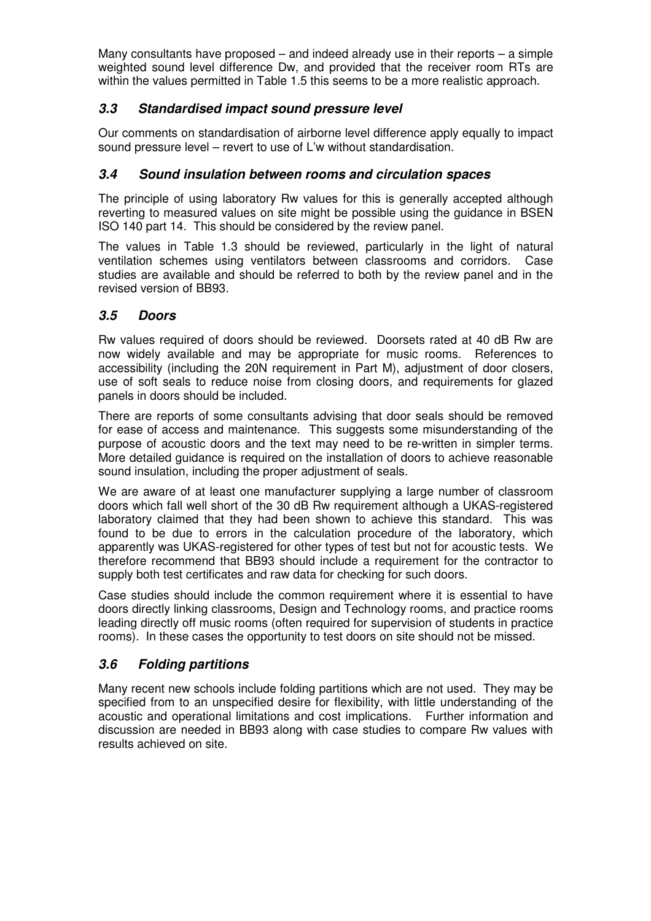Many consultants have proposed – and indeed already use in their reports – a simple weighted sound level difference Dw, and provided that the receiver room RTs are within the values permitted in Table 1.5 this seems to be a more realistic approach.

### **3.3 Standardised impact sound pressure level**

Our comments on standardisation of airborne level difference apply equally to impact sound pressure level – revert to use of L'w without standardisation.

### **3.4 Sound insulation between rooms and circulation spaces**

The principle of using laboratory Rw values for this is generally accepted although reverting to measured values on site might be possible using the guidance in BSEN ISO 140 part 14. This should be considered by the review panel.

The values in Table 1.3 should be reviewed, particularly in the light of natural ventilation schemes using ventilators between classrooms and corridors. Case studies are available and should be referred to both by the review panel and in the revised version of BB93.

## **3.5 Doors**

Rw values required of doors should be reviewed. Doorsets rated at 40 dB Rw are now widely available and may be appropriate for music rooms. References to accessibility (including the 20N requirement in Part M), adjustment of door closers, use of soft seals to reduce noise from closing doors, and requirements for glazed panels in doors should be included.

There are reports of some consultants advising that door seals should be removed for ease of access and maintenance. This suggests some misunderstanding of the purpose of acoustic doors and the text may need to be re-written in simpler terms. More detailed guidance is required on the installation of doors to achieve reasonable sound insulation, including the proper adjustment of seals.

We are aware of at least one manufacturer supplying a large number of classroom doors which fall well short of the 30 dB Rw requirement although a UKAS-registered laboratory claimed that they had been shown to achieve this standard. This was found to be due to errors in the calculation procedure of the laboratory, which apparently was UKAS-registered for other types of test but not for acoustic tests. We therefore recommend that BB93 should include a requirement for the contractor to supply both test certificates and raw data for checking for such doors.

Case studies should include the common requirement where it is essential to have doors directly linking classrooms, Design and Technology rooms, and practice rooms leading directly off music rooms (often required for supervision of students in practice rooms). In these cases the opportunity to test doors on site should not be missed.

## **3.6 Folding partitions**

Many recent new schools include folding partitions which are not used. They may be specified from to an unspecified desire for flexibility, with little understanding of the acoustic and operational limitations and cost implications. Further information and discussion are needed in BB93 along with case studies to compare Rw values with results achieved on site.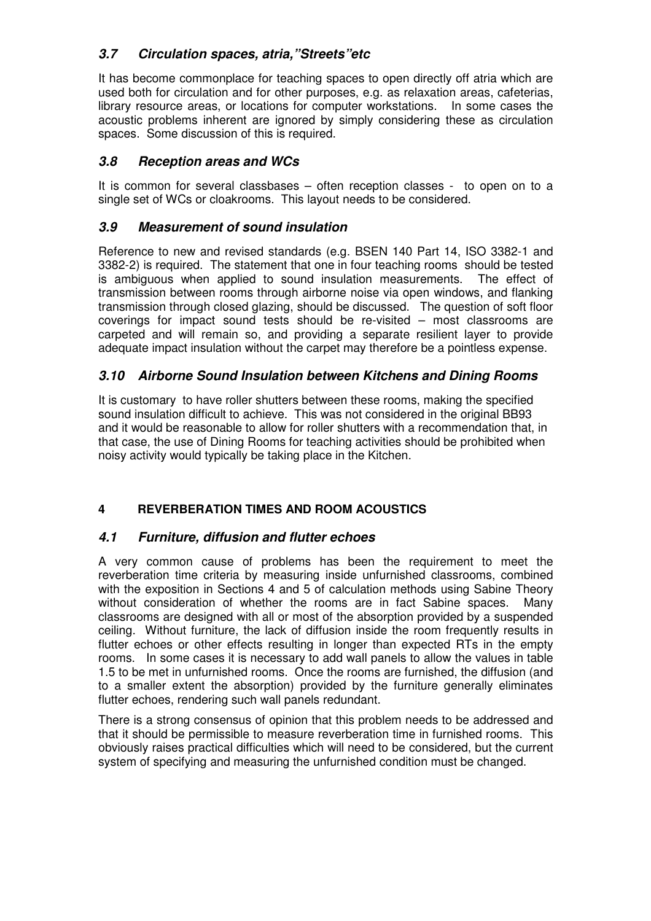# **3.7 Circulation spaces, atria,"Streets"etc**

It has become commonplace for teaching spaces to open directly off atria which are used both for circulation and for other purposes, e.g. as relaxation areas, cafeterias, library resource areas, or locations for computer workstations. In some cases the acoustic problems inherent are ignored by simply considering these as circulation spaces. Some discussion of this is required.

### **3.8 Reception areas and WCs**

It is common for several classbases – often reception classes - to open on to a single set of WCs or cloakrooms. This layout needs to be considered.

### **3.9 Measurement of sound insulation**

Reference to new and revised standards (e.g. BSEN 140 Part 14, ISO 3382-1 and 3382-2) is required. The statement that one in four teaching rooms should be tested is ambiguous when applied to sound insulation measurements. The effect of transmission between rooms through airborne noise via open windows, and flanking transmission through closed glazing, should be discussed. The question of soft floor coverings for impact sound tests should be re-visited – most classrooms are carpeted and will remain so, and providing a separate resilient layer to provide adequate impact insulation without the carpet may therefore be a pointless expense.

### **3.10 Airborne Sound Insulation between Kitchens and Dining Rooms**

It is customary to have roller shutters between these rooms, making the specified sound insulation difficult to achieve. This was not considered in the original BB93 and it would be reasonable to allow for roller shutters with a recommendation that, in that case, the use of Dining Rooms for teaching activities should be prohibited when noisy activity would typically be taking place in the Kitchen.

### **4 REVERBERATION TIMES AND ROOM ACOUSTICS**

### **4.1 Furniture, diffusion and flutter echoes**

A very common cause of problems has been the requirement to meet the reverberation time criteria by measuring inside unfurnished classrooms, combined with the exposition in Sections 4 and 5 of calculation methods using Sabine Theory without consideration of whether the rooms are in fact Sabine spaces. Many classrooms are designed with all or most of the absorption provided by a suspended ceiling. Without furniture, the lack of diffusion inside the room frequently results in flutter echoes or other effects resulting in longer than expected RTs in the empty rooms. In some cases it is necessary to add wall panels to allow the values in table 1.5 to be met in unfurnished rooms. Once the rooms are furnished, the diffusion (and to a smaller extent the absorption) provided by the furniture generally eliminates flutter echoes, rendering such wall panels redundant.

There is a strong consensus of opinion that this problem needs to be addressed and that it should be permissible to measure reverberation time in furnished rooms. This obviously raises practical difficulties which will need to be considered, but the current system of specifying and measuring the unfurnished condition must be changed.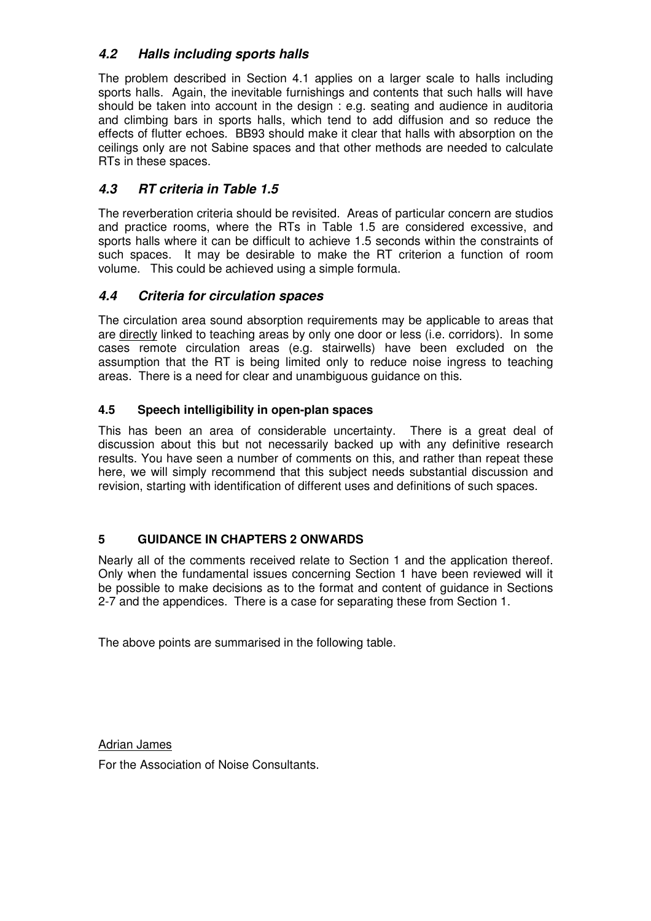# **4.2 Halls including sports halls**

The problem described in Section 4.1 applies on a larger scale to halls including sports halls. Again, the inevitable furnishings and contents that such halls will have should be taken into account in the design : e.g. seating and audience in auditoria and climbing bars in sports halls, which tend to add diffusion and so reduce the effects of flutter echoes. BB93 should make it clear that halls with absorption on the ceilings only are not Sabine spaces and that other methods are needed to calculate RTs in these spaces.

# **4.3 RT criteria in Table 1.5**

The reverberation criteria should be revisited. Areas of particular concern are studios and practice rooms, where the RTs in Table 1.5 are considered excessive, and sports halls where it can be difficult to achieve 1.5 seconds within the constraints of such spaces. It may be desirable to make the RT criterion a function of room volume. This could be achieved using a simple formula.

### **4.4 Criteria for circulation spaces**

The circulation area sound absorption requirements may be applicable to areas that are directly linked to teaching areas by only one door or less (i.e. corridors). In some cases remote circulation areas (e.g. stairwells) have been excluded on the assumption that the RT is being limited only to reduce noise ingress to teaching areas. There is a need for clear and unambiguous guidance on this.

### **4.5 Speech intelligibility in open-plan spaces**

This has been an area of considerable uncertainty. There is a great deal of discussion about this but not necessarily backed up with any definitive research results. You have seen a number of comments on this, and rather than repeat these here, we will simply recommend that this subject needs substantial discussion and revision, starting with identification of different uses and definitions of such spaces.

### **5 GUIDANCE IN CHAPTERS 2 ONWARDS**

Nearly all of the comments received relate to Section 1 and the application thereof. Only when the fundamental issues concerning Section 1 have been reviewed will it be possible to make decisions as to the format and content of guidance in Sections 2-7 and the appendices. There is a case for separating these from Section 1.

The above points are summarised in the following table.

Adrian James

For the Association of Noise Consultants.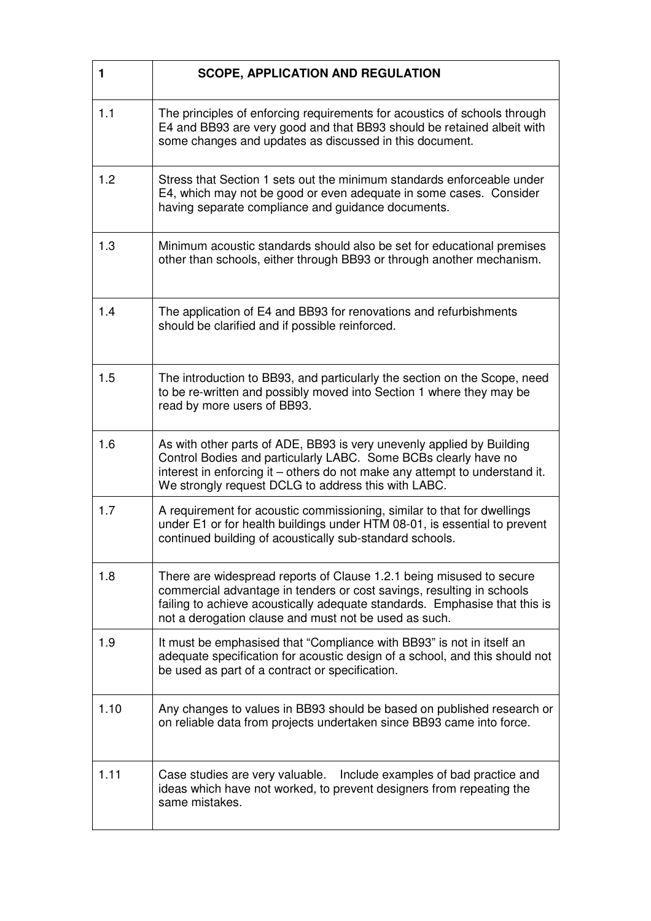| 1    | <b>SCOPE, APPLICATION AND REGULATION</b>                                                                                                                                                                                                                                             |
|------|--------------------------------------------------------------------------------------------------------------------------------------------------------------------------------------------------------------------------------------------------------------------------------------|
| 1.1  | The principles of enforcing requirements for acoustics of schools through<br>E4 and BB93 are very good and that BB93 should be retained albeit with<br>some changes and updates as discussed in this document.                                                                       |
| 1.2  | Stress that Section 1 sets out the minimum standards enforceable under<br>E4, which may not be good or even adequate in some cases. Consider<br>having separate compliance and guidance documents.                                                                                   |
| 1.3  | Minimum acoustic standards should also be set for educational premises<br>other than schools, either through BB93 or through another mechanism.                                                                                                                                      |
| 1.4  | The application of E4 and BB93 for renovations and refurbishments<br>should be clarified and if possible reinforced.                                                                                                                                                                 |
| 1.5  | The introduction to BB93, and particularly the section on the Scope, need<br>to be re-written and possibly moved into Section 1 where they may be<br>read by more users of BB93.                                                                                                     |
| 1.6  | As with other parts of ADE, BB93 is very unevenly applied by Building<br>Control Bodies and particularly LABC. Some BCBs clearly have no<br>interest in enforcing it – others do not make any attempt to understand it.<br>We strongly request DCLG to address this with LABC.       |
| 1.7  | A requirement for acoustic commissioning, similar to that for dwellings<br>under E1 or for health buildings under HTM 08-01, is essential to prevent<br>continued building of acoustically sub-standard schools.                                                                     |
| 1.8  | There are widespread reports of Clause 1.2.1 being misused to secure<br>commercial advantage in tenders or cost savings, resulting in schools<br>failing to achieve acoustically adequate standards. Emphasise that this is<br>not a derogation clause and must not be used as such. |
| 1.9  | It must be emphasised that "Compliance with BB93" is not in itself an<br>adequate specification for acoustic design of a school, and this should not<br>be used as part of a contract or specification.                                                                              |
| 1.10 | Any changes to values in BB93 should be based on published research or<br>on reliable data from projects undertaken since BB93 came into force.                                                                                                                                      |
| 1.11 | Include examples of bad practice and<br>Case studies are very valuable.<br>ideas which have not worked, to prevent designers from repeating the<br>same mistakes.                                                                                                                    |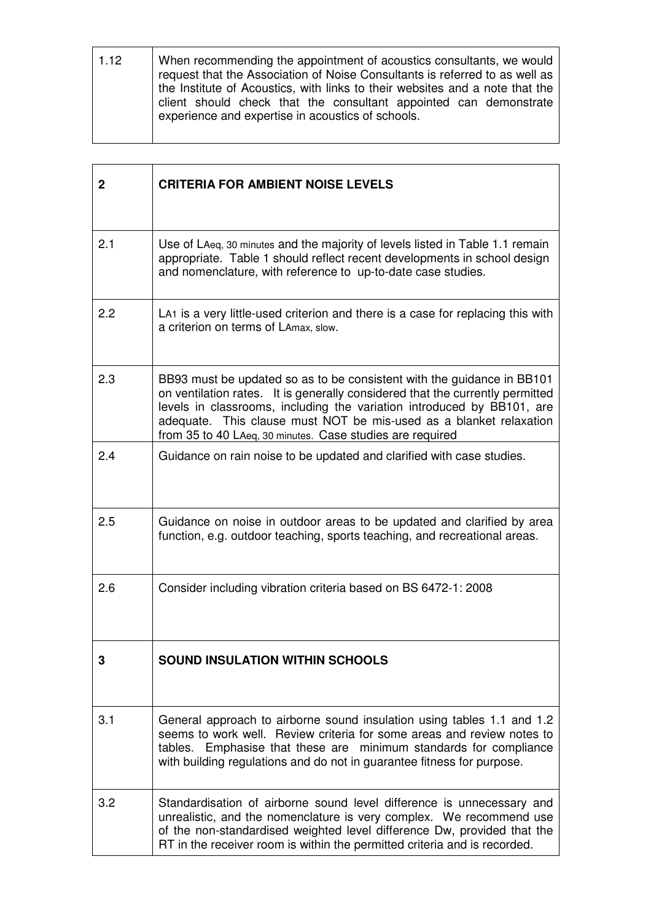| 1.12 | When recommending the appointment of acoustics consultants, we would<br>request that the Association of Noise Consultants is referred to as well as<br>the Institute of Acoustics, with links to their websites and a note that the<br>client should check that the consultant appointed can demonstrate |
|------|----------------------------------------------------------------------------------------------------------------------------------------------------------------------------------------------------------------------------------------------------------------------------------------------------------|
|      | experience and expertise in acoustics of schools.                                                                                                                                                                                                                                                        |

| $\mathbf{2}$ | <b>CRITERIA FOR AMBIENT NOISE LEVELS</b>                                                                                                                                                                                                                                                                                                                             |
|--------------|----------------------------------------------------------------------------------------------------------------------------------------------------------------------------------------------------------------------------------------------------------------------------------------------------------------------------------------------------------------------|
| 2.1          | Use of LAeq, 30 minutes and the majority of levels listed in Table 1.1 remain<br>appropriate. Table 1 should reflect recent developments in school design<br>and nomenclature, with reference to up-to-date case studies.                                                                                                                                            |
| 2.2          | LA <sub>1</sub> is a very little-used criterion and there is a case for replacing this with<br>a criterion on terms of LAmax, slow.                                                                                                                                                                                                                                  |
| 2.3          | BB93 must be updated so as to be consistent with the guidance in BB101<br>on ventilation rates. It is generally considered that the currently permitted<br>levels in classrooms, including the variation introduced by BB101, are<br>adequate. This clause must NOT be mis-used as a blanket relaxation<br>from 35 to 40 LAeq, 30 minutes. Case studies are required |
| 2.4          | Guidance on rain noise to be updated and clarified with case studies.                                                                                                                                                                                                                                                                                                |
| 2.5          | Guidance on noise in outdoor areas to be updated and clarified by area<br>function, e.g. outdoor teaching, sports teaching, and recreational areas.                                                                                                                                                                                                                  |
| 2.6          | Consider including vibration criteria based on BS 6472-1: 2008                                                                                                                                                                                                                                                                                                       |
| З            | SOUND INSULATION WITHIN SCHOOLS                                                                                                                                                                                                                                                                                                                                      |
| 3.1          | General approach to airborne sound insulation using tables 1.1 and 1.2<br>seems to work well. Review criteria for some areas and review notes to<br>tables. Emphasise that these are minimum standards for compliance<br>with building regulations and do not in guarantee fitness for purpose.                                                                      |
| 3.2          | Standardisation of airborne sound level difference is unnecessary and<br>unrealistic, and the nomenclature is very complex. We recommend use<br>of the non-standardised weighted level difference Dw, provided that the<br>RT in the receiver room is within the permitted criteria and is recorded.                                                                 |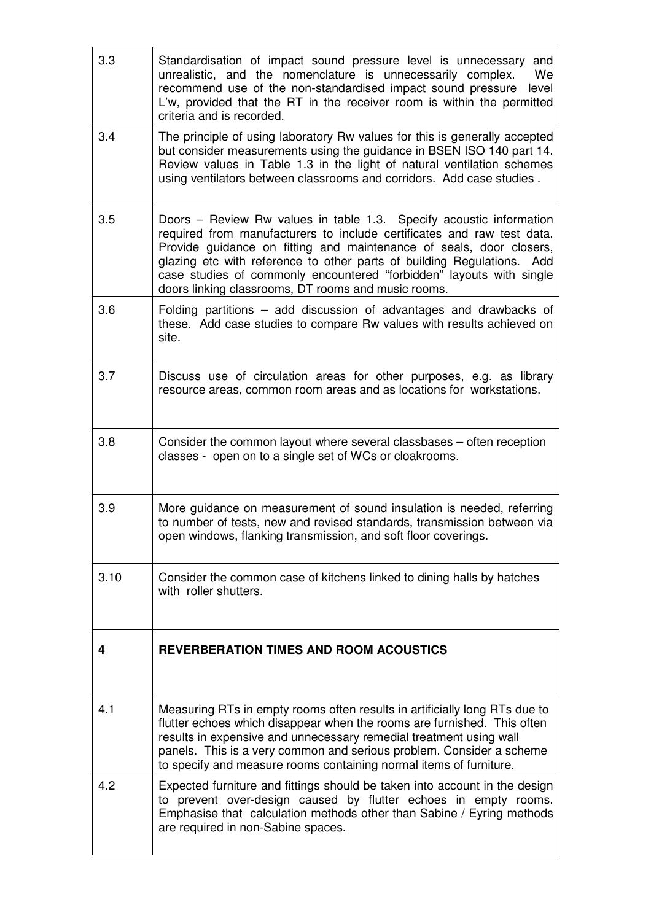| 3.3  | Standardisation of impact sound pressure level is unnecessary<br>and<br>unrealistic, and the nomenclature is unnecessarily complex.<br>We<br>recommend use of the non-standardised impact sound pressure<br>level<br>L'w, provided that the RT in the receiver room is within the permitted<br>criteria and is recorded.                                                                                                      |
|------|-------------------------------------------------------------------------------------------------------------------------------------------------------------------------------------------------------------------------------------------------------------------------------------------------------------------------------------------------------------------------------------------------------------------------------|
| 3.4  | The principle of using laboratory Rw values for this is generally accepted<br>but consider measurements using the guidance in BSEN ISO 140 part 14.<br>Review values in Table 1.3 in the light of natural ventilation schemes<br>using ventilators between classrooms and corridors. Add case studies.                                                                                                                        |
| 3.5  | Doors – Review Rw values in table 1.3. Specify acoustic information<br>required from manufacturers to include certificates and raw test data.<br>Provide guidance on fitting and maintenance of seals, door closers,<br>glazing etc with reference to other parts of building Regulations. Add<br>case studies of commonly encountered "forbidden" layouts with single<br>doors linking classrooms, DT rooms and music rooms. |
| 3.6  | Folding partitions - add discussion of advantages and drawbacks of<br>these. Add case studies to compare Rw values with results achieved on<br>site.                                                                                                                                                                                                                                                                          |
| 3.7  | Discuss use of circulation areas for other purposes, e.g. as library<br>resource areas, common room areas and as locations for workstations.                                                                                                                                                                                                                                                                                  |
| 3.8  | Consider the common layout where several classbases - often reception<br>classes - open on to a single set of WCs or cloakrooms.                                                                                                                                                                                                                                                                                              |
| 3.9  | More guidance on measurement of sound insulation is needed, referring<br>to number of tests, new and revised standards, transmission between via<br>open windows, flanking transmission, and soft floor coverings.                                                                                                                                                                                                            |
| 3.10 | Consider the common case of kitchens linked to dining halls by hatches<br>with roller shutters.                                                                                                                                                                                                                                                                                                                               |
| 4    | <b>REVERBERATION TIMES AND ROOM ACOUSTICS</b>                                                                                                                                                                                                                                                                                                                                                                                 |
| 4.1  | Measuring RTs in empty rooms often results in artificially long RTs due to<br>flutter echoes which disappear when the rooms are furnished. This often<br>results in expensive and unnecessary remedial treatment using wall<br>panels. This is a very common and serious problem. Consider a scheme<br>to specify and measure rooms containing normal items of furniture.                                                     |
| 4.2  | Expected furniture and fittings should be taken into account in the design<br>to prevent over-design caused by flutter echoes in empty rooms.<br>Emphasise that calculation methods other than Sabine / Eyring methods<br>are required in non-Sabine spaces.                                                                                                                                                                  |